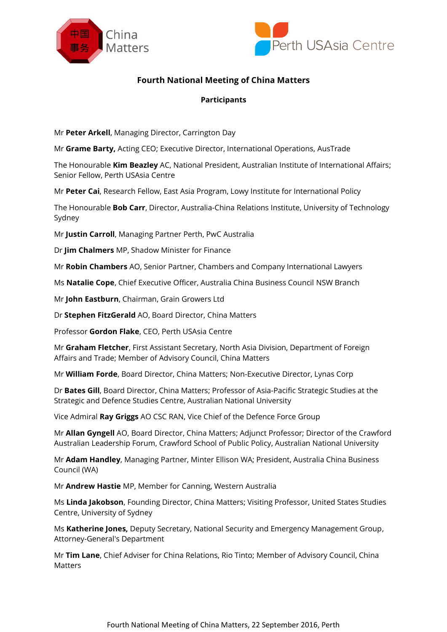



## **Fourth National Meeting of China Matters**

## **Participants**

Mr **Peter Arkell**, Managing Director, Carrington Day

Mr **Grame Barty,** Acting CEO; Executive Director, International Operations, AusTrade

The Honourable **Kim Beazley** AC, National President, Australian Institute of International Affairs; Senior Fellow, Perth USAsia Centre

Mr **Peter Cai**, Research Fellow, East Asia Program, Lowy Institute for International Policy

The Honourable **Bob Carr**, Director, Australia-China Relations Institute, University of Technology Sydney

Mr **Justin Carroll**, Managing Partner Perth, PwC Australia

Dr **Jim Chalmers** MP, Shadow Minister for Finance

Mr **Robin Chambers** AO, Senior Partner, Chambers and Company International Lawyers

Ms **Natalie Cope**, Chief Executive Officer, Australia China Business Council NSW Branch

Mr **John Eastburn**, Chairman, Grain Growers Ltd

Dr **Stephen FitzGerald** AO, Board Director, China Matters

Professor **Gordon Flake**, CEO, Perth USAsia Centre

Mr **Graham Fletcher**, First Assistant Secretary, North Asia Division, Department of Foreign Affairs and Trade; Member of Advisory Council, China Matters

Mr **William Forde**, Board Director, China Matters; Non-Executive Director, Lynas Corp

Dr **Bates Gill**, Board Director, China Matters; Professor of Asia-Pacific Strategic Studies at the Strategic and Defence Studies Centre, Australian National University

Vice Admiral **Ray Griggs** AO CSC RAN, Vice Chief of the Defence Force Group

Mr **Allan Gyngell** AO, Board Director, China Matters; Adjunct Professor; Director of the Crawford Australian Leadership Forum, Crawford School of Public Policy, Australian National University

Mr **Adam Handley**, Managing Partner, Minter Ellison WA; President, Australia China Business Council (WA)

Mr **Andrew Hastie** MP, Member for Canning, Western Australia

Ms **Linda Jakobson**, Founding Director, China Matters; Visiting Professor, United States Studies Centre, University of Sydney

Ms **Katherine Jones,** Deputy Secretary, National Security and Emergency Management Group, Attorney-General's Department

Mr **Tim Lane**, Chief Adviser for China Relations, Rio Tinto; Member of Advisory Council, China Matters